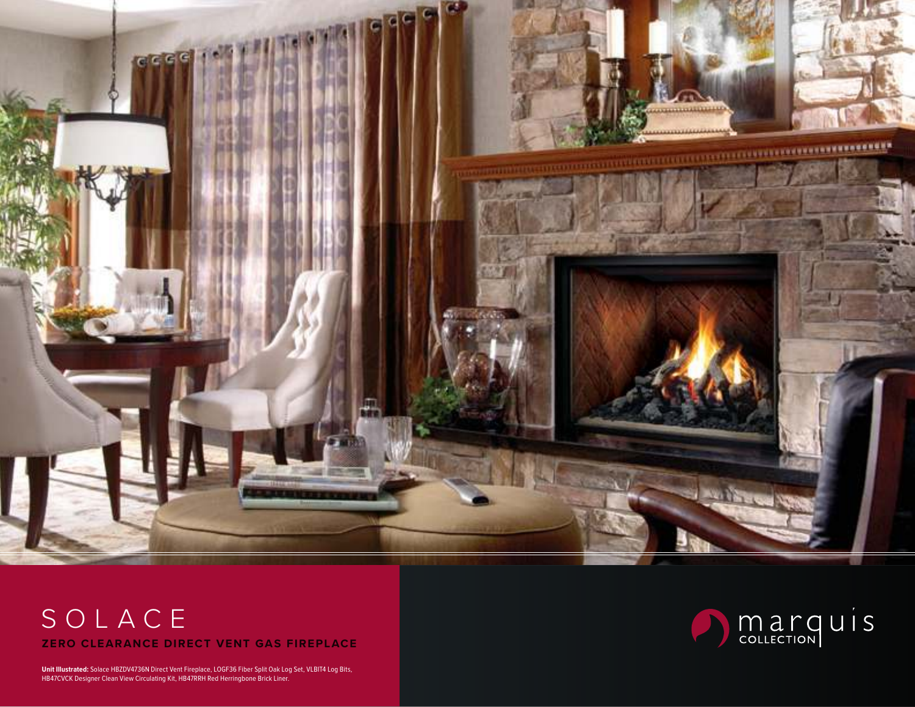

# SOLACE **ZERO CLEARANCE DIRECT VENT GAS FIREPLACE**

**Unit Illustrated:** Solace HBZDV4736N Direct Vent Fireplace, LOGF36 Fiber Split Oak Log Set, VLBIT4 Log Bits, HB47CVCK Designer Clean View Circulating Kit, HB47RRH Red Herringbone Brick Liner.

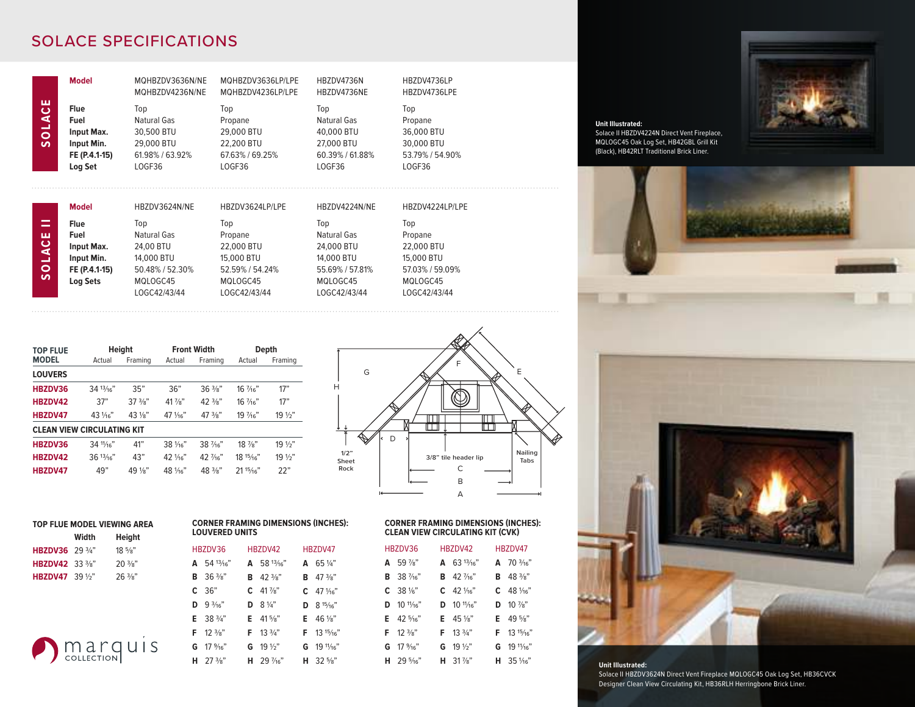## SOLACE SPECIFICATIONS

|                                               | <b>Model</b>                                                                | MQHBZDV3636N/NE<br>MOHBZDV4236N/NE                                          | MQHBZDV3636LP/LPE<br>MQHBZDV4236LP/LPE                                  | HBZDV4736N<br>HBZDV4736NE                                                   | HBZDV4736LP<br>HBZDV4736LPE                                             |
|-----------------------------------------------|-----------------------------------------------------------------------------|-----------------------------------------------------------------------------|-------------------------------------------------------------------------|-----------------------------------------------------------------------------|-------------------------------------------------------------------------|
| ш<br>$\bullet$<br>A <sub>10</sub><br><b>S</b> | <b>Flue</b><br>Fuel<br>Input Max.<br>Input Min.<br>FE (P.4.1-15)<br>Log Set | Top<br>Natural Gas<br>30,500 BTU<br>29,000 BTU<br>61.98% / 63.92%<br>LOGF36 | Top<br>Propane<br>29,000 BTU<br>22.200 BTU<br>67.63% / 69.25%<br>LOGF36 | Top<br>Natural Gas<br>40,000 BTU<br>27,000 BTU<br>60.39% / 61.88%<br>LOGF36 | Top<br>Propane<br>36,000 BTU<br>30,000 BTU<br>53.79% / 54.90%<br>LOGF36 |
|                                               | <b>Model</b>                                                                | HBZDV3624N/NE                                                               | HBZDV3624LP/LPE                                                         | HBZDV4224N/NE                                                               | HBZDV4224LP/LPE                                                         |
| =                                             | Flue                                                                        |                                                                             |                                                                         |                                                                             |                                                                         |
|                                               |                                                                             | Top                                                                         | Top                                                                     | Top                                                                         | Top                                                                     |
| ш                                             | Fuel                                                                        | Natural Gas                                                                 | Propane                                                                 | Natural Gas                                                                 | Propane                                                                 |
|                                               | Input Max.                                                                  | 24.00 BTU                                                                   | 22,000 BTU                                                              | 24,000 BTU                                                                  | 22,000 BTU                                                              |
| DAC                                           | Input Min.                                                                  | 14,000 BTU                                                                  | 15,000 BTU                                                              | 14,000 BTU                                                                  | 15.000 BTU                                                              |
| $\bullet$                                     | FE (P.4.1-15)                                                               | 50.48% / 52.30%                                                             | 52.59% / 54.24%                                                         | 55.69% / 57.81%                                                             | 57.03% / 59.09%                                                         |
| S                                             | <b>Log Sets</b>                                                             | MQLOGC45                                                                    | MQLOGC45                                                                | MQLOGC45                                                                    | MQLOGC45                                                                |

| <b>TOP FLUE</b>                   |              | <b>Height</b>        |                    | <b>Front Width</b> | Depth             |                 |  |
|-----------------------------------|--------------|----------------------|--------------------|--------------------|-------------------|-----------------|--|
| <b>MODEL</b>                      | Actual       | Framing              | Actual             | Framing            | Actual            | Framing         |  |
| <b>LOUVERS</b>                    |              |                      |                    |                    |                   |                 |  |
| HBZDV36                           | $34^{13}/16$ | 35"                  | 36"                | $36\frac{3}{8}$ "  | 16 1/16"          | 17"             |  |
| HBZDV42                           | 37"          | $37\frac{3}{8}$ "    | 41 %"              | $42\frac{3}{8}$    | $16\frac{7}{16}$  | 17"             |  |
| HBZDV47                           | $43\%$       | $43\frac{1}{8}$      | 47 1/16"           | $47\frac{3}{8}$ "  | 19 1/16"          | $19\frac{1}{2}$ |  |
| <b>CLEAN VIEW CIRCULATING KIT</b> |              |                      |                    |                    |                   |                 |  |
| HBZDV36                           | 34 11/16"    | 41"                  | $38\frac{1}{6}$    | $38\frac{7}{6}$    | $18\frac{7}{8}$ " | $19\frac{1}{2}$ |  |
| HBZDV42                           | 36'13/16''   | 43"                  | $42$ $\frac{1}{9}$ | $42\frac{7}{16}$   | 18'15/16"         | $19\frac{1}{2}$ |  |
| HBZDV47                           | 49"          | 49 1/ <sub>8</sub> " | $48\frac{1}{16}$   | $48 \frac{3}{8}$   | 2115/16"          | 22"             |  |

**A** 54 13/16" **B** 36 3/8" **C** 36" **D** 9 3/16" **E** 38 3/4" **F** 12 3/8" **G** 17 9/16" **H** 27 3/8"

HBZDV42 **A** 58 13/16" **B** 42 3/8"  $C$  41  $\frac{7}{8}$ " **D**  $8\frac{1}{4}$ " **E** 41 5/8" **F** 13 3/4" **G** 19 1/2" **H** 29 7/16"

HBZDV47 **A** 65 1/4" **B** 47 3/8" **C**  $47\frac{1}{16}$ **D** 8 15/16" **E** 46 1/8" **F** 13 15/16" **G** 19 11/16" **H** 32 5/8"

| G             | E                                    |
|---------------|--------------------------------------|
| Н             |                                      |
|               |                                      |
| 1/2"          | D<br>Nailing<br>3/8" tile header lip |
| Sheet<br>Rock | Tabs<br>C                            |
|               | B<br>к<br>А                          |

| <b>CORNER FRAMING DIMENSIONS (INCHES):</b> |
|--------------------------------------------|
| <b>CLEAN VIEW CIRCULATING KIT (CVK)</b>    |

| HR7DV36 |                              | HR7DV42                     | HR7DV47 |                                |  |
|---------|------------------------------|-----------------------------|---------|--------------------------------|--|
|         | $\Delta$ 59 %"               | $\Delta$ 6.3 $13/16$ "      |         | $\Delta$ 70 $\frac{3}{46}$ "   |  |
|         | <b>B</b> 38 $\frac{7}{6}$    | <b>B</b> $42\frac{7}{16}$   |         | <b>B</b> $48\frac{3}{8}$       |  |
|         | $C = 38\%$ "                 | $C = 42\frac{1}{16}$        |         | $C = 48\frac{1}{16}$           |  |
|         | <b>D</b> $10^{11/16}$        | $D = 10^{11}/6$             |         | <b>D</b> $10\frac{7}{8}$       |  |
|         | $F = 42.5/16$                | <b>E</b> $45\frac{1}{8}$    |         | <b>F</b> 49 $5\frac{1}{2}$     |  |
|         | $F = 12 \frac{3}{8}$         | $F = 13\frac{3}{4}$         |         | $F = 13^{15/16}$               |  |
|         | $G = 17\frac{9}{16}$         | <b>G</b> 19 $\frac{1}{2}$   |         | $G = 191\frac{1}{16}$          |  |
|         | <b>H</b> 29 $\frac{5}{46}$ " | <b>H</b> 31 $\frac{7}{8}$ " |         | <b>H</b> 35 1/ <sub>16</sub> " |  |
|         |                              |                             |         |                                |  |



**Unit Illustrated:** Solace II HBZDV4224N Direct Vent Fireplace, MQLOGC45 Oak Log Set, HB42GBL Grill Kit (Black), HB42RLT Traditional Brick Liner.



**Unit Illustrated:** Solace II HBZDV3624N Direct Vent Fireplace MQLOGC45 Oak Log Set, HB36CVCK Designer Clean View Circulating Kit, HB36RLH Herringbone Brick Liner.

| <b>HBZDV42</b>                    | $36^{13}/16"$               | 43"               | $42\frac{1}{16}$ | 42 $\frac{7}{16}$                          | $18^{15/16}$ | $19\frac{1}{2}$ | 1/2<br>She |  |
|-----------------------------------|-----------------------------|-------------------|------------------|--------------------------------------------|--------------|-----------------|------------|--|
| HBZDV47                           | 49"                         | $49\frac{1}{8}$   | $48\frac{1}{16}$ | $48\frac{3}{8}$ "                          | 2115/16"     | 22"             | Roc        |  |
|                                   |                             |                   |                  |                                            |              |                 |            |  |
|                                   |                             |                   |                  |                                            |              |                 |            |  |
|                                   | TOP FLUE MODEL VIEWING AREA |                   |                  | <b>CORNER FRAMING DIMENSIONS (INCHES):</b> |              |                 |            |  |
|                                   | Width                       | Heiaht            |                  | <b>LOUVERED UNITS</b>                      |              |                 |            |  |
| <b>HBZDV36</b> 29 $\frac{3}{4}$ " |                             | $18\frac{5}{8}$ " |                  | HBZDV36                                    | HBZDV42      |                 | HBZDV47    |  |

| <b>)</b> marquis |  |  |
|------------------|--|--|
|                  |  |  |

**HBZDV42** 33 3/8" 20 3/8" **HBZDV47** 39 1/2" 26 3/8"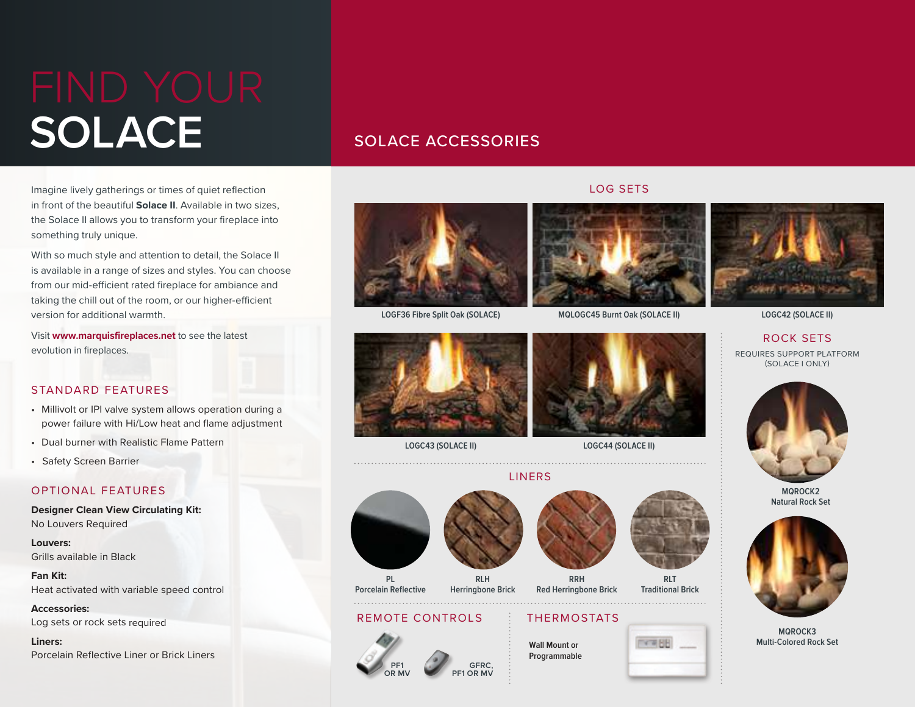# **SOLACE** SOLACE ACCESSORIES

Imagine lively gatherings or times of quiet reflection in front of the beautiful **Solace II**. Available in two sizes, the Solace II allows you to transform your fireplace into something truly unique.

With so much style and attention to detail, the Solace II is available in a range of sizes and styles. You can choose from our mid-efficient rated fireplace for ambiance and taking the chill out of the room, or our higher-efficient version for additional warmth.

Visit **www.marquisfireplaces.net** to see the latest evolution in fireplaces.

#### STANDARD FEATURES

- Millivolt or IPI valve system allows operation during a power failure with Hi/Low heat and flame adjustment
- Dual burner with Realistic Flame Pattern
- Safety Screen Barrier

#### OPTIONAL FEATURES

**Designer Clean View Circulating Kit:** No Louvers Required

**Louvers:** Grills available in Black

**Fan Kit:** Heat activated with variable speed control

**Accessories:** Log sets or rock sets required

**Liners:** Porcelain Reflective Liner or Brick Liners

#### LOG SETS





**LOGF36 Fibre Split Oak (SOLACE)**



**LOGC43 (SOLACE II) LOGC44 (SOLACE II)**



**MQLOGC45 Burnt Oak (SOLACE II) LOGC42 (SOLACE II)**

### ROCK SETS

REQUIRES SUPPORT PLATFORM (SOLACE I ONLY)



**MQROCK2 Natural Rock Set**



**MQROCK3 Multi-Colored Rock Set**



**Porcelain Reflective**

REMOTE CONTROLS

**PF1 OR MV** **Herringbone Brick**



**EXTREME** 

# **RRH Red Herringbone Brick**

## THERMOSTATS

**Wall Mount or Programmable**



**GFRC, PF1 OR MV**